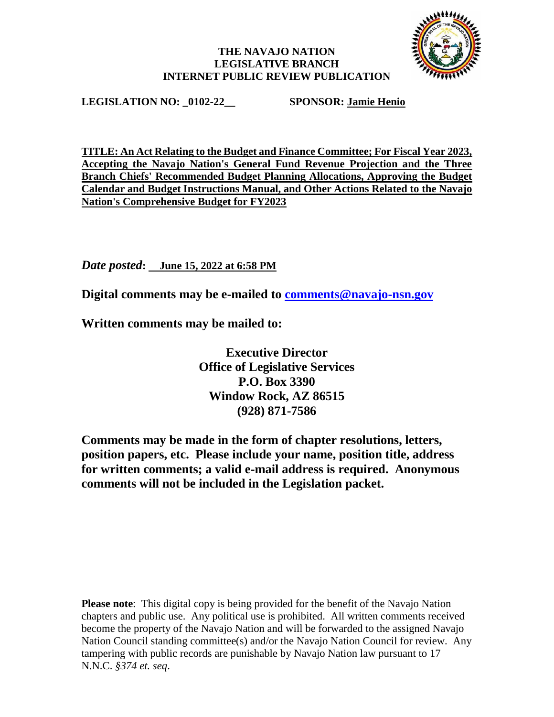## **THE NAVAJO NATION LEGISLATIVE BRANCH INTERNET PUBLIC REVIEW PUBLICATION**



**LEGISLATION NO: \_0102-22\_\_ SPONSOR: Jamie Henio**

**TITLE: An Act Relating to the Budget and Finance Committee; For Fiscal Year 2023, Accepting the Navajo Nation's General Fund Revenue Projection and the Three Branch Chiefs' Recommended Budget Planning Allocations, Approving the Budget Calendar and Budget Instructions Manual, and Other Actions Related to the Navajo Nation's Comprehensive Budget for FY2023**

*Date posted***: June 15, 2022 at 6:58 PM**

**Digital comments may be e-mailed to [comments@navajo-nsn.gov](mailto:comments@navajo-nsn.gov?subject=0102-22)**

**Written comments may be mailed to:**

**Executive Director Office of Legislative Services P.O. Box 3390 Window Rock, AZ 86515 (928) 871-7586**

**Comments may be made in the form of chapter resolutions, letters, position papers, etc. Please include your name, position title, address for written comments; a valid e-mail address is required. Anonymous comments will not be included in the Legislation packet.**

**Please note**: This digital copy is being provided for the benefit of the Navajo Nation chapters and public use. Any political use is prohibited. All written comments received become the property of the Navajo Nation and will be forwarded to the assigned Navajo Nation Council standing committee(s) and/or the Navajo Nation Council for review. Any tampering with public records are punishable by Navajo Nation law pursuant to 17 N.N.C. *§374 et. seq*.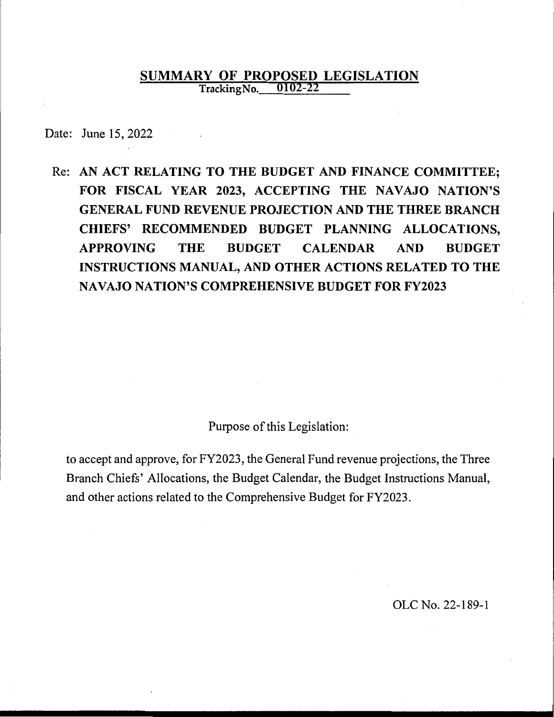# **SUMMARY OF PROPOSED LEGISLATION**<br>TrackingNo. 0102-22 **0102-22**

Date: June 15, 2022

Re: **AN ACT RELATING TO THE BUDGET AND FINANCE COMMITTEE; FOR FISCAL YEAR 2023, ACCEPTING THE NAVAJO NATION'S GENERAL FUND REVENUE PROJECTION AND THE THREE BRANCH CHIEFS' RECOMMENDED BUDGET PLANNING ALLOCATIONS, APPROVING THE BUDGET CALENDAR AND BUDGET INSTRUCTIONS MANUAL, AND OTHER ACTIONS RELATED TO THE NAVAJO NATION'S COMPREHENSIVE BUDGET FOR FY2023** 

Purpose of this Legislation:

to accept and approve, for FY2023, the General Fund revenue projections, the Three Branch Chiefs' Allocations, the Budget Calendar, the Budget Instructions Manual, and other actions related to the Comprehensive Budget for FY2023.

OLC No. 22-189-1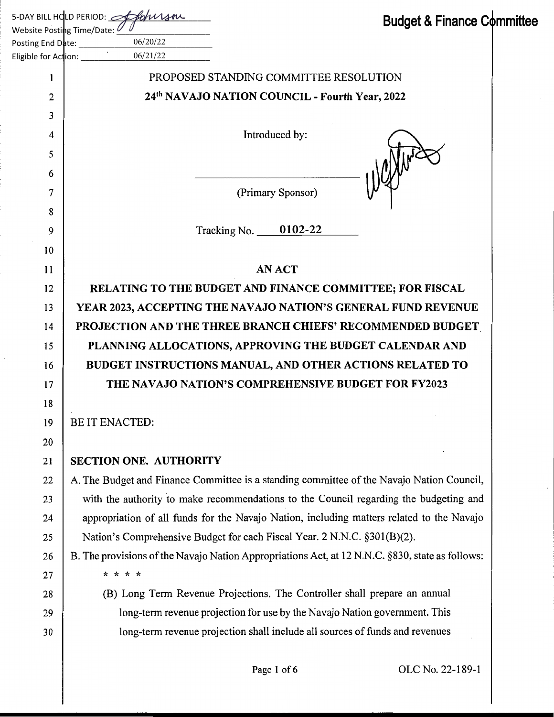|                            | 5-DAY BILL HOLD PERIOD: $\mathscr{P}$<br><b>Budget &amp; Finance Committee</b>                  |  |
|----------------------------|-------------------------------------------------------------------------------------------------|--|
|                            | Website Posting Time/Date: <i>L</i><br>06/20/22                                                 |  |
| Eligible for Action: _____ | 06/21/22                                                                                        |  |
| 1                          | PROPOSED STANDING COMMITTEE RESOLUTION                                                          |  |
| 2                          | 24th NAVAJO NATION COUNCIL - Fourth Year, 2022                                                  |  |
| 3                          |                                                                                                 |  |
| 4                          | Introduced by:                                                                                  |  |
| 5                          |                                                                                                 |  |
| 6                          |                                                                                                 |  |
| 7                          | (Primary Sponsor)                                                                               |  |
| 8                          |                                                                                                 |  |
| 9                          | Tracking No. $0102-22$                                                                          |  |
| 10                         |                                                                                                 |  |
| 11                         | <b>AN ACT</b>                                                                                   |  |
| 12                         | RELATING TO THE BUDGET AND FINANCE COMMITTEE; FOR FISCAL                                        |  |
| 13                         | YEAR 2023, ACCEPTING THE NAVAJO NATION'S GENERAL FUND REVENUE                                   |  |
| 14                         | PROJECTION AND THE THREE BRANCH CHIEFS' RECOMMENDED BUDGET                                      |  |
| 15                         | PLANNING ALLOCATIONS, APPROVING THE BUDGET CALENDAR AND                                         |  |
| 16                         | BUDGET INSTRUCTIONS MANUAL, AND OTHER ACTIONS RELATED TO                                        |  |
| 17                         | THE NAVAJO NATION'S COMPREHENSIVE BUDGET FOR FY2023                                             |  |
| 18                         |                                                                                                 |  |
| 19                         | <b>BE IT ENACTED:</b>                                                                           |  |
| 20                         |                                                                                                 |  |
| 21                         | <b>SECTION ONE. AUTHORITY</b>                                                                   |  |
| 22                         | A. The Budget and Finance Committee is a standing committee of the Navajo Nation Council,       |  |
| 23                         | with the authority to make recommendations to the Council regarding the budgeting and           |  |
| 24                         | appropriation of all funds for the Navajo Nation, including matters related to the Navajo       |  |
| 25                         | Nation's Comprehensive Budget for each Fiscal Year. 2 N.N.C. §301(B)(2).                        |  |
| 26                         | B. The provisions of the Navajo Nation Appropriations Act, at 12 N.N.C. §830, state as follows: |  |
| 27                         | * * * *                                                                                         |  |
| 28                         | (B) Long Term Revenue Projections. The Controller shall prepare an annual                       |  |
| 29                         | long-term revenue projection for use by the Navajo Nation government. This                      |  |
| 30                         | long-term revenue projection shall include all sources of funds and revenues                    |  |
|                            |                                                                                                 |  |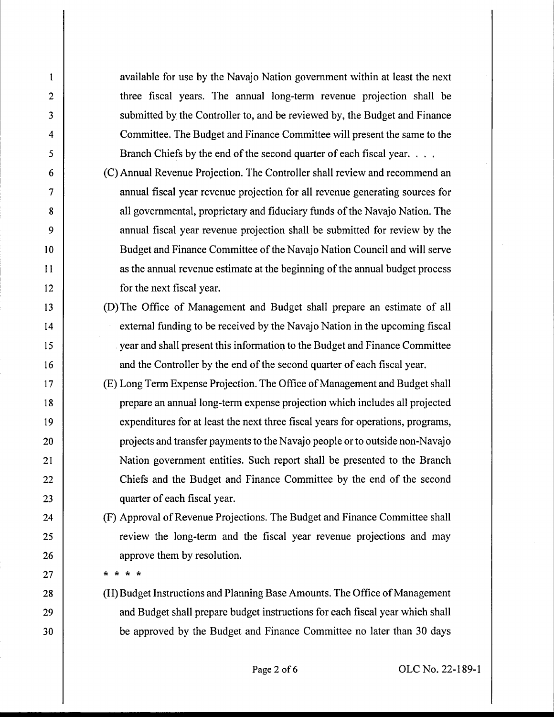available for use by the Navajo Nation government within at least the next three fiscal years. The annual long-term revenue projection shall be submitted by the Controller to, and be reviewed by, the Budget and Finance Committee. The Budget and Finance Committee will present the same to the Branch Chiefs by the end of the second quarter of each fiscal year. . . .

- (C) Annual Revenue Projection. The Controller shall review and recommend an annual fiscal year revenue projection for all revenue generating sources for all governmental, proprietary and fiduciary funds of the Navajo Nation. The annual fiscal year revenue projection shall be submitted for review by the Budget and Finance Committee of the Navajo Nation Council and will serve as the annual revenue estimate at the beginning of the annual budget process for the next fiscal year.
- (D) The Office of Management and Budget shall prepare an estimate of all external funding to be received by the Navajo Nation in the upcoming fiscal year and shall present this information to the Budget and Finance Committee and the Controller by the end of the second quarter of each fiscal year.
- (E) Long Term Expense Projection. The Office of Management and Budget shall prepare an annual long-term expense projection which includes all projected expenditures for at least the next three fiscal years for operations, programs, projects and transfer payments to the Navajo people orto outside non-Navajo Nation government entities. Such report shall be presented to the Branch Chiefs and the Budget and Finance Committee by the end of the second quarter of each fiscal year.

(F) Approval of Revenue Projections. The Budget and Finance Committee shall review the long-term and the fiscal year revenue projections and may approve them by resolution.

\* \* \* \*

2

 $\mathbf{1}$ 

3

4

5

6

7

8

9

10

11

12

13

14

15

16

17

18

19

20

21

22

23

24

25

26

27

28

29

30

(H) Budget Instructions and Planning Base Amounts. The Office of Management and Budget shall prepare budget instructions for each fiscal year which shall be approved by the Budget and Finance Committee no later than 30 days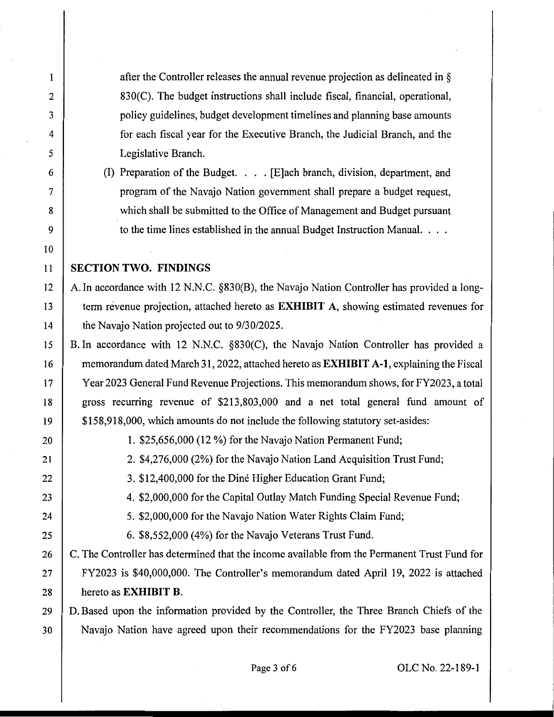after the Controller releases the annual revenue projection as delineated in § 830(C). The budget instructions shall include fiscal, financial, operational, policy guidelines, budget development timelines and planning base amounts for each fiscal year for the Executive Branch, the Judicial Branch, and the Legislative Branch.

(I) Preparation of the Budget. . . . [E]ach branch, division, department, and program of the Navajo Nation government shall prepare a budget request, which shall be submitted to the Office of Management and Budget pursuant to the time lines established in the annual Budget Instruction Manual. . . .

## 11 **SECTION TWO. FINDINGS**

12 A. In accordance with 12 N.N.C. §830(B), the Navajo Nation Controller has provided a long-13 term revenue projection, attached hereto as **EXHIBIT A,** showing estimated revenues for 14 **the Navajo Nation projected out to 9/30/2025.** 

15 B. In accordance with 12 N.N.C. §830(C), the Navajo Nation Controller has provided a 16 memorandum dated March 31, 2022, attached hereto as **EXHIBIT A-1,** explaining the Fiscal 17 Year 2023 General Fund Revenue Projections. This memorandum shows, for FY2023, a total 18 gross recurring revenue of \$213,803,000 and a net total general fund amount of 19 | \$158,918,000, which amounts do not include the following statutory set-asides:

2

 $\mathbf{1}$ 

3

4

5

6

7

8

9

10

20 1. \$25,656,000 (12 %) for the Navajo Nation Permanent Fund;

21 | 2. \$4,276,000 (2%) for the Navajo Nation Land Acquisition Trust Fund;

- 22 3. \$12,400,000 for the Diné Higher Education Grant Fund;
- 23 4. \$2,000,000 for the Capital Outlay Match Funding Special Revenue Fund;
- 24 5. \$2,000,000 for the Navajo Nation Water Rights Claim Fund;

25 6. \$8,552,000 (4%) for the Navajo Veterans Trust Fund.

26 | C. The Controller has determined that the income available from the Permanent Trust Fund for 27 FY2023 is \$40,000,000. The Controller's memorandum dated April 19, 2022 is attached 28 hereto as **EXHIBIT B.** 

29 D. Based upon the information provided by the Controller, the Three Branch Chiefs of the 30 Navajo Nation have agreed upon their recommendations for the FY2023 base planning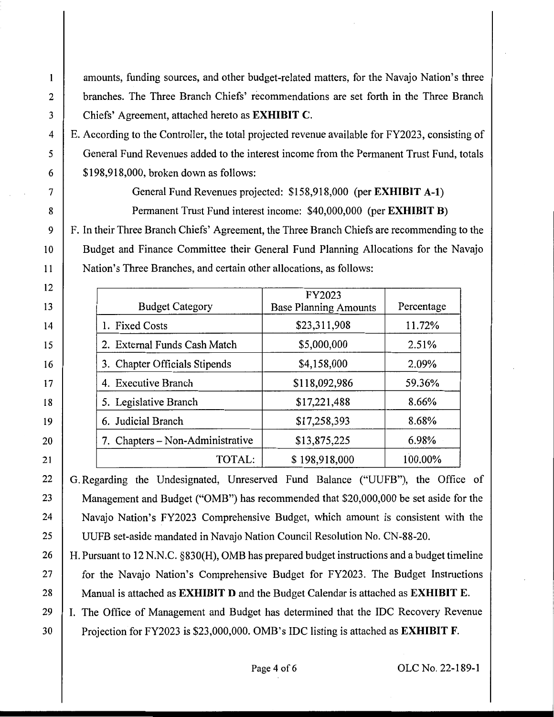amounts, funding sources, and other budget-related matters, for the Navajo Nation's three 2 branches. The Three Branch Chiefs' recommendations are set forth in the Three Branch 3 Chiefs' Agreement, attached hereto as **EXHIBIT C.** 

4 E. According to the Controller, the total projected revenue available for FY2023, consisting of 5 General Fund Revenues added to the interest income from the Permanent Trust Fund, totals  $\begin{array}{c|c} 6 & \text{ $198,918,000, broken down as follows:} \end{array}$ 

 $\mathbf{1}$ 

12

13

14

15

16

17

18

19

20

21

7 General Fund Revenues projected: \$158,918,000 (per **EXHIBIT A-1)**  8 Permanent Trust Fund interest income: \$40,000,000 (per **EXHIBIT B)** 

9 F. In their Three Branch Chiefs' Agreement, the Three Branch Chiefs are recommending to the 10 Budget and Finance Committee their General Fund Planning Allocations for the Navajo 11 Nation's Three Branches, and certain other allocations, as follows:

| <b>Budget Category</b>           | FY2023<br><b>Base Planning Amounts</b> | Percentage |
|----------------------------------|----------------------------------------|------------|
| 1. Fixed Costs                   | \$23,311,908                           | 11.72%     |
| 2. External Funds Cash Match     | \$5,000,000                            | 2.51%      |
| 3. Chapter Officials Stipends    | \$4,158,000                            | 2.09%      |
| 4. Executive Branch              | \$118,092,986                          | 59.36%     |
| 5. Legislative Branch            | \$17,221,488                           | 8.66%      |
| 6. Judicial Branch               | \$17,258,393                           | 8.68%      |
| 7. Chapters – Non-Administrative | \$13,875,225                           | 6.98%      |
| TOTAL:                           | \$198,918,000                          | 100.00%    |

22 G. Regarding the Undesignated, Unreserved Fund Balance ("UUFB"), the Office of 23 Management and Budget ("OMB") has recommended that \$20,000,000 be set aside for the 24 Navajo Nation's FY2023 Comprehensive Budget, which amount is consistent with the 25 UUFB set-aside mandated in Navajo Nation Council Resolution No. CN-88-20.

26 | H. Pursuant to 12 N.N.C. §830(H), OMB has prepared budget instructions and a budget timeline 27 **for the Navajo Nation's Comprehensive Budget for FY2023. The Budget Instructions** 28 Manual is attached as **EXHIBIT D** and the Budget Calendar is attached as **EXHIBIT E.** 

29 I. The Office of Management and Budget has determined that the IDC Recovery Revenue 30 Projection for FY2023 is \$23,000,000. OMB's IDC listing is attached as **EXHIBIT F.**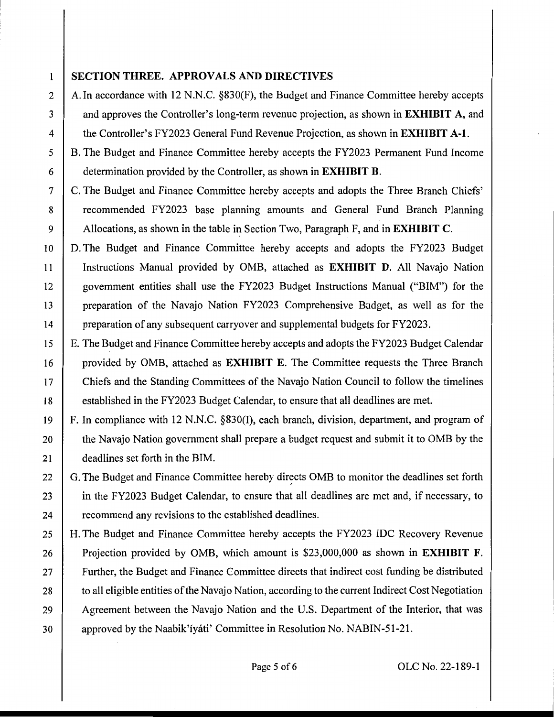## 1 **SECTION THREE. APPROVALS AND DIRECTIVES**

2 A. In accordance with 12 N.N.C.  $\S 830(F)$ , the Budget and Finance Committee hereby accepts 3 and approves the Controller's long-term revenue projection, as shown in **EXHIBIT A,** and 4 the Controller's FY2023 General Fund Revenue Projection, as shown in **EXHIBIT A-1.** 

5 | B. The Budget and Finance Committee hereby accepts the FY2023 Permanent Fund Income 6 determination provided by the Controller, as shown in **EXHIBIT B.** 

7 C. The Budget and Finance Committee hereby accepts and adopts the Three Branch Chiefs' 8 recommended FY2023 base planning amounts and General Fund Branch Planning 9 Allocations, as shown in the table in Section Two, Paragraph F, and in **EXHIBIT C.** 

10 | D. The Budget and Finance Committee hereby accepts and adopts the FY2023 Budget 11 Instructions Manual provided by 0MB, attached as **EXHIBIT D.** All Navajo Nation 12 government entities shall use the FY2023 Budget Instructions Manual ("BIM") for the 13 preparation of the Navajo Nation FY2023 Comprehensive Budget, as well as for the 14 preparation of any subsequent carryover and supplemental budgets for FY2023.

15 E. The Budget and Finance Committee hereby accepts and adopts the FY2023 Budget Calendar 16 provided by 0MB, attached as **EXHIBIT** E. The Committee requests the Three Branch 17 Chiefs and the Standing Committees of the Navajo Nation Council to follow the timelines 18 established in the FY2023 Budget Calendar, to ensure that all deadlines are met.

19 F. In compliance with 12 N.N.C. §830(1), each branch, division, department, and program of 20 the Navajo Nation government shall prepare a budget request and submit it to OMB by the 21 deadlines set forth in the BIM.

22 G. The Budget and Finance Committee hereby directs OMB to monitor the deadlines set forth ' 23 in the FY2023 Budget Calendar, to ensure that all deadlines are met and, if necessary, to 24 **recommend any revisions to the established deadlines.** 

25 H. The Budget and Finance Committee hereby accepts the FY2023 IDC Recovery Revenue 26 Projection provided by 0MB, which amount is \$23,000,000 as shown in **EXHIBIT F.**  27 Further, the Budget and Finance Committee directs that indirect cost funding be distributed 28 to all eligible entities of the Navajo Nation, according to the current Indirect Cost Negotiation 29 | Agreement between the Navajo Nation and the U.S. Department of the Interior, that was 30 approved by the Naabik'iyati' Committee in Resolution No. NABIN-51-21.

Page 5 of 6 OLC No. 22-189-1